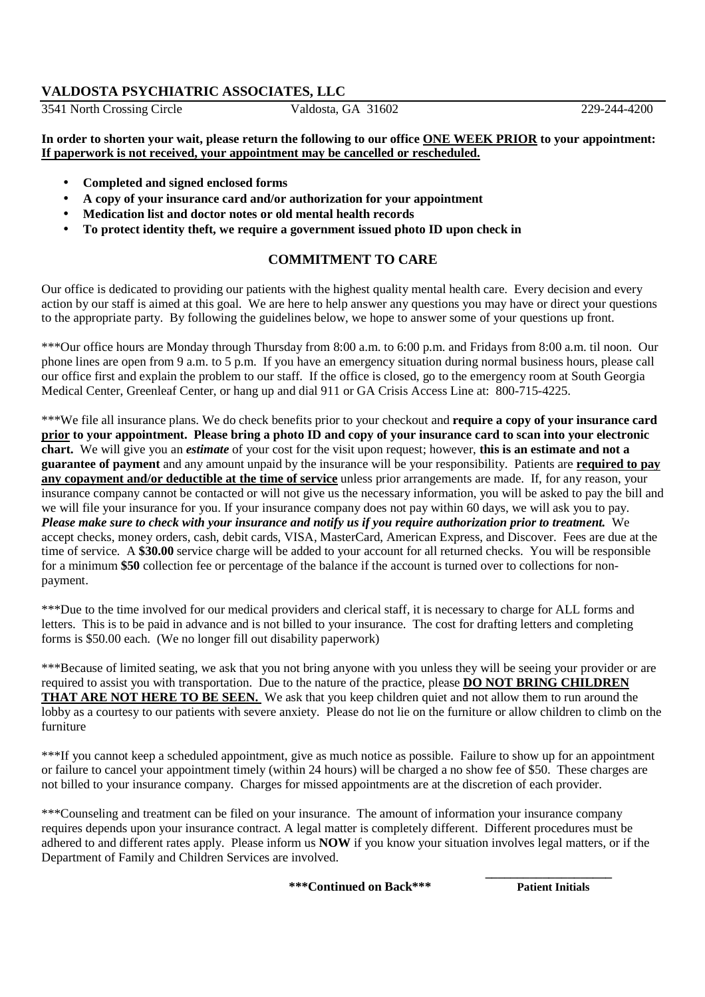### **VALDOSTA PSYCHIATRIC ASSOCIATES, LLC**

3541 North Crossing Circle Valdosta, GA 31602 229-244-4200

**In order to shorten your wait, please return the following to our office ONE WEEK PRIOR to your appointment: If paperwork is not received, your appointment may be cancelled or rescheduled.** 

- **Completed and signed enclosed forms**
- **A copy of your insurance card and/or authorization for your appointment**
- **Medication list and doctor notes or old mental health records**
- **To protect identity theft, we require a government issued photo ID upon check in**

### **COMMITMENT TO CARE**

Our office is dedicated to providing our patients with the highest quality mental health care. Every decision and every action by our staff is aimed at this goal. We are here to help answer any questions you may have or direct your questions to the appropriate party. By following the guidelines below, we hope to answer some of your questions up front.

\*\*\*Our office hours are Monday through Thursday from 8:00 a.m. to 6:00 p.m. and Fridays from 8:00 a.m. til noon. Our phone lines are open from 9 a.m. to 5 p.m. If you have an emergency situation during normal business hours, please call our office first and explain the problem to our staff. If the office is closed, go to the emergency room at South Georgia Medical Center, Greenleaf Center, or hang up and dial 911 or GA Crisis Access Line at: 800-715-4225.

\*\*\*We file all insurance plans. We do check benefits prior to your checkout and **require a copy of your insurance card prior to your appointment. Please bring a photo ID and copy of your insurance card to scan into your electronic chart.** We will give you an *estimate* of your cost for the visit upon request; however, **this is an estimate and not a guarantee of payment** and any amount unpaid by the insurance will be your responsibility. Patients are **required to pay any copayment and/or deductible at the time of service** unless prior arrangements are made. If, for any reason, your insurance company cannot be contacted or will not give us the necessary information, you will be asked to pay the bill and we will file your insurance for you. If your insurance company does not pay within 60 days, we will ask you to pay. *Please make sure to check with your insurance and notify us if you require authorization prior to treatment.* We accept checks, money orders, cash, debit cards, VISA, MasterCard, American Express, and Discover. Fees are due at the time of service. A **\$30.00** service charge will be added to your account for all returned checks. You will be responsible for a minimum **\$50** collection fee or percentage of the balance if the account is turned over to collections for nonpayment.

\*\*\*Due to the time involved for our medical providers and clerical staff, it is necessary to charge for ALL forms and letters. This is to be paid in advance and is not billed to your insurance. The cost for drafting letters and completing forms is \$50.00 each. (We no longer fill out disability paperwork)

\*\*\*Because of limited seating, we ask that you not bring anyone with you unless they will be seeing your provider or are required to assist you with transportation. Due to the nature of the practice, please **DO NOT BRING CHILDREN THAT ARE NOT HERE TO BE SEEN.** We ask that you keep children quiet and not allow them to run around the lobby as a courtesy to our patients with severe anxiety. Please do not lie on the furniture or allow children to climb on the furniture

\*\*\*If you cannot keep a scheduled appointment, give as much notice as possible. Failure to show up for an appointment or failure to cancel your appointment timely (within 24 hours) will be charged a no show fee of \$50. These charges are not billed to your insurance company. Charges for missed appointments are at the discretion of each provider.

\*\*\*Counseling and treatment can be filed on your insurance. The amount of information your insurance company requires depends upon your insurance contract. A legal matter is completely different. Different procedures must be adhered to and different rates apply. Please inform us **NOW** if you know your situation involves legal matters, or if the Department of Family and Children Services are involved.

 **\_\_\_\_\_\_\_\_\_\_\_\_\_\_\_\_\_\_\_\_** 

 **\*\*\*Continued on Back\*\*\* Patient Initials**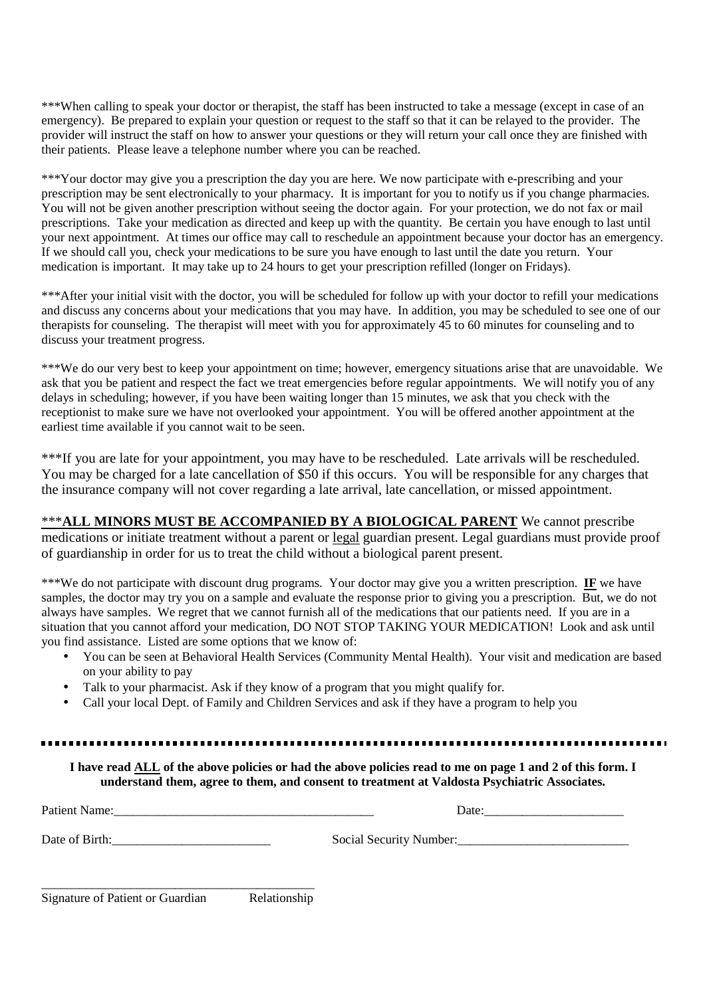\*\*\*When calling to speak your doctor or therapist, the staff has been instructed to take a message (except in case of an emergency). Be prepared to explain your question or request to the staff so that it can be relayed to the provider. The provider will instruct the staff on how to answer your questions or they will return your call once they are finished with their patients. Please leave a telephone number where you can be reached.

\*\*\*Your doctor may give you a prescription the day you are here. We now participate with e-prescribing and your prescription may be sent electronically to your pharmacy. It is important for you to notify us if you change pharmacies. You will not be given another prescription without seeing the doctor again. For your protection, we do not fax or mail prescriptions. Take your medication as directed and keep up with the quantity. Be certain you have enough to last until your next appointment. At times our office may call to reschedule an appointment because your doctor has an emergency. If we should call you, check your medications to be sure you have enough to last until the date you return. Your medication is important. It may take up to 24 hours to get your prescription refilled (longer on Fridays).

\*\*\*After your initial visit with the doctor, you will be scheduled for follow up with your doctor to refill your medications and discuss any concerns about your medications that you may have. In addition, you may be scheduled to see one of our therapists for counseling. The therapist will meet with you for approximately 45 to 60 minutes for counseling and to discuss your treatment progress.

\*\*\*We do our very best to keep your appointment on time; however, emergency situations arise that are unavoidable. We ask that you be patient and respect the fact we treat emergencies before regular appointments. We will notify you of any delays in scheduling; however, if you have been waiting longer than 15 minutes, we ask that you check with the receptionist to make sure we have not overlooked your appointment. You will be offered another appointment at the earliest time available if you cannot wait to be seen.

\*\*\*If you are late for your appointment, you may have to be rescheduled. Late arrivals will be rescheduled. You may be charged for a late cancellation of \$50 if this occurs. You will be responsible for any charges that the insurance company will not cover regarding a late arrival, late cancellation, or missed appointment.

\*\*\***ALL MINORS MUST BE ACCOMPANIED BY A BIOLOGICAL PARENT** We cannot prescribe medications or initiate treatment without a parent or legal guardian present. Legal guardians must provide proof of guardianship in order for us to treat the child without a biological parent present.

\*\*\*We do not participate with discount drug programs. Your doctor may give you a written prescription. **IF** we have samples, the doctor may try you on a sample and evaluate the response prior to giving you a prescription. But, we do not always have samples. We regret that we cannot furnish all of the medications that our patients need. If you are in a situation that you cannot afford your medication, DO NOT STOP TAKING YOUR MEDICATION! Look and ask until you find assistance. Listed are some options that we know of:

- You can be seen at Behavioral Health Services (Community Mental Health). Your visit and medication are based on your ability to pay
- Talk to your pharmacist. Ask if they know of a program that you might qualify for.
- Call your local Dept. of Family and Children Services and ask if they have a program to help you

**I have read ALL of the above policies or had the above policies read to me on page 1 and 2 of this form. I understand them, agree to them, and consent to treatment at Valdosta Psychiatric Associates.** 

| <b>Patient Name:</b> | Date:                   |
|----------------------|-------------------------|
| Date of Birth:       | Social Security Number: |
|                      |                         |

| Signature of Patient or Guardian | Relationship |
|----------------------------------|--------------|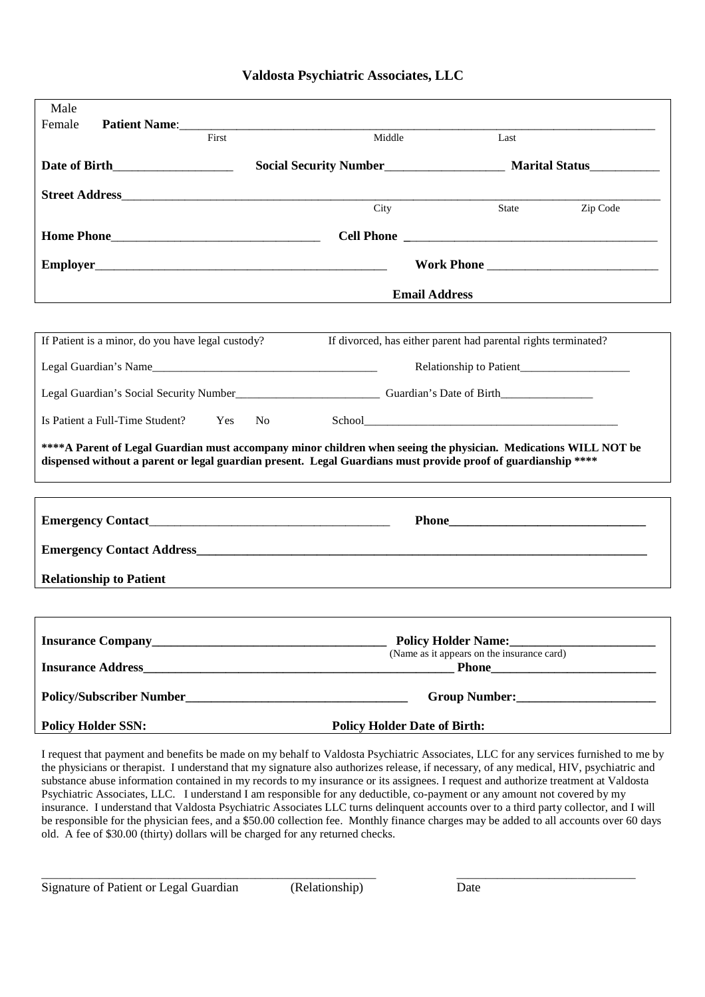|  | Valdosta Psychiatric Associates, LLC |  |  |
|--|--------------------------------------|--|--|
|--|--------------------------------------|--|--|

| Male                                                                                                          |                                                                   |                                                                                                                                                                                                      |
|---------------------------------------------------------------------------------------------------------------|-------------------------------------------------------------------|------------------------------------------------------------------------------------------------------------------------------------------------------------------------------------------------------|
| Female<br>Patient Name:<br>First                                                                              | Middle                                                            | Last                                                                                                                                                                                                 |
|                                                                                                               |                                                                   |                                                                                                                                                                                                      |
|                                                                                                               |                                                                   |                                                                                                                                                                                                      |
|                                                                                                               | $\overline{\mathrm{City}}$                                        | Zip Code<br>State                                                                                                                                                                                    |
|                                                                                                               |                                                                   |                                                                                                                                                                                                      |
|                                                                                                               |                                                                   |                                                                                                                                                                                                      |
|                                                                                                               |                                                                   | <b>Email Address</b>                                                                                                                                                                                 |
| If Patient is a minor, do you have legal custody?                                                             |                                                                   | If divorced, has either parent had parental rights terminated?                                                                                                                                       |
| Legal Guardian's Name                                                                                         |                                                                   |                                                                                                                                                                                                      |
|                                                                                                               |                                                                   |                                                                                                                                                                                                      |
| Is Patient a Full-Time Student? Yes No                                                                        |                                                                   |                                                                                                                                                                                                      |
| dispensed without a parent or legal guardian present. Legal Guardians must provide proof of guardianship **** |                                                                   | **** A Parent of Legal Guardian must accompany minor children when seeing the physician. Medications WILL NOT be<br>,我们也不会有什么?""我们的人,我们也不会有什么?""我们的人,我们也不会有什么?""我们的人,我们也不会有什么?""我们的人,我们也不会有什么?""我们的人 |
|                                                                                                               |                                                                   |                                                                                                                                                                                                      |
|                                                                                                               |                                                                   |                                                                                                                                                                                                      |
| <b>Relationship to Patient</b>                                                                                | <u> 1980 - Andrea Stadt Britain, amerikansk politik (d. 1980)</u> |                                                                                                                                                                                                      |
|                                                                                                               |                                                                   |                                                                                                                                                                                                      |
|                                                                                                               |                                                                   |                                                                                                                                                                                                      |
| <b>Insurance Address</b>                                                                                      |                                                                   | (Name as it appears on the insurance card)                                                                                                                                                           |
|                                                                                                               |                                                                   |                                                                                                                                                                                                      |
| <b>Policy Holder SSN:</b>                                                                                     | <b>Policy Holder Date of Birth:</b>                               |                                                                                                                                                                                                      |

I request that payment and benefits be made on my behalf to Valdosta Psychiatric Associates, LLC for any services furnished to me by the physicians or therapist. I understand that my signature also authorizes release, if necessary, of any medical, HIV, psychiatric and substance abuse information contained in my records to my insurance or its assignees. I request and authorize treatment at Valdosta Psychiatric Associates, LLC. I understand I am responsible for any deductible, co-payment or any amount not covered by my insurance. I understand that Valdosta Psychiatric Associates LLC turns delinquent accounts over to a third party collector, and I will be responsible for the physician fees, and a \$50.00 collection fee. Monthly finance charges may be added to all accounts over 60 days old. A fee of \$30.00 (thirty) dollars will be charged for any returned checks.

Signature of Patient or Legal Guardian (Relationship) Date

\_\_\_\_\_\_\_\_\_\_\_\_\_\_\_\_\_\_\_\_\_\_\_\_\_\_\_\_\_\_\_\_\_\_\_\_\_\_\_\_\_\_\_\_\_\_\_\_\_\_\_\_\_\_\_\_\_\_ \_\_\_\_\_\_\_\_\_\_\_\_\_\_\_\_\_\_\_\_\_\_\_\_\_\_\_\_\_\_\_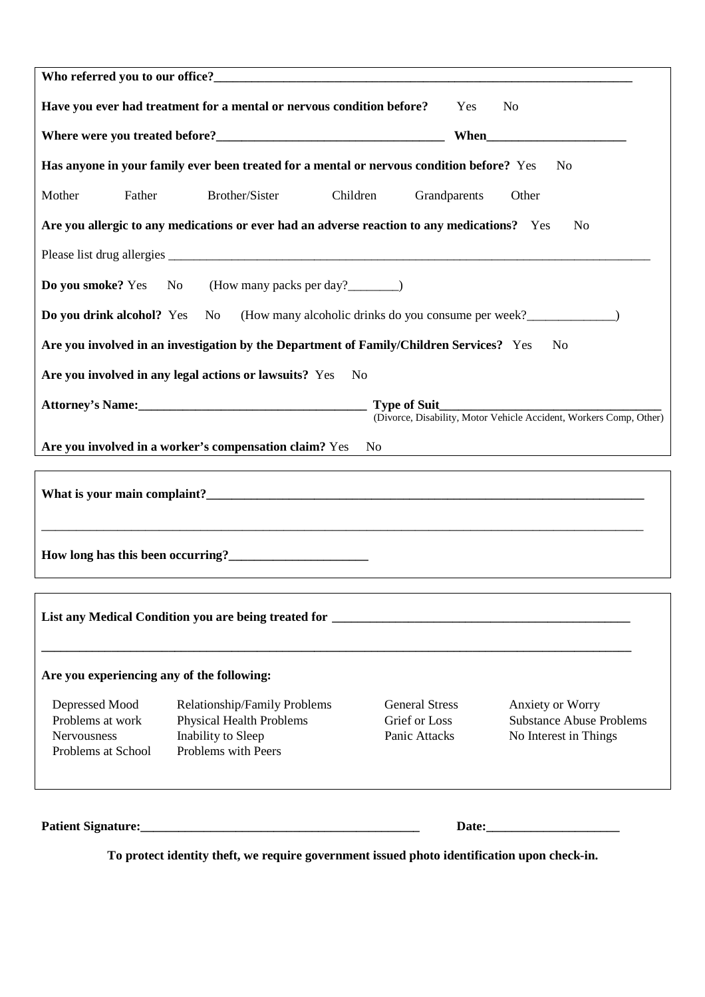|                                            | Have you ever had treatment for a mental or nervous condition before?                       | Yes                                    | N <sub>0</sub>                                                     |
|--------------------------------------------|---------------------------------------------------------------------------------------------|----------------------------------------|--------------------------------------------------------------------|
|                                            |                                                                                             |                                        |                                                                    |
|                                            | Has anyone in your family ever been treated for a mental or nervous condition before? Yes   |                                        | No                                                                 |
| Father<br>Mother                           | Brother/Sister<br>Children                                                                  | Grandparents                           | Other                                                              |
|                                            | Are you allergic to any medications or ever had an adverse reaction to any medications? Yes |                                        | No                                                                 |
|                                            |                                                                                             |                                        |                                                                    |
|                                            | <b>Do you smoke?</b> Yes No (How many packs per day?________)                               |                                        |                                                                    |
|                                            | <b>Do you drink alcohol?</b> Yes No (How many alcoholic drinks do you consume per week?     |                                        |                                                                    |
|                                            | Are you involved in an investigation by the Department of Family/Children Services? Yes     |                                        | N <sub>0</sub>                                                     |
|                                            | Are you involved in any legal actions or lawsuits? Yes                                      | No                                     |                                                                    |
|                                            |                                                                                             | <b>Type of Suit_</b>                   |                                                                    |
|                                            |                                                                                             |                                        | (Divorce, Disability, Motor Vehicle Accident, Workers Comp, Other) |
|                                            | Are you involved in a worker's compensation claim? Yes                                      | No                                     |                                                                    |
|                                            |                                                                                             |                                        |                                                                    |
|                                            |                                                                                             |                                        |                                                                    |
|                                            | How long has this been occurring?<br><u>Letting</u> 2                                       |                                        |                                                                    |
|                                            |                                                                                             |                                        |                                                                    |
|                                            |                                                                                             |                                        |                                                                    |
|                                            |                                                                                             |                                        |                                                                    |
| Are you experiencing any of the following: |                                                                                             |                                        |                                                                    |
| Depressed Mood<br>Problems at work         | Relationship/Family Problems<br><b>Physical Health Problems</b>                             | <b>General Stress</b><br>Grief or Loss | Anxiety or Worry<br><b>Substance Abuse Problems</b>                |
| Nervousness                                | Inability to Sleep                                                                          | Panic Attacks                          | No Interest in Things                                              |
| Problems with Peers<br>Problems at School  |                                                                                             |                                        |                                                                    |
|                                            |                                                                                             |                                        |                                                                    |
|                                            |                                                                                             |                                        |                                                                    |

**To protect identity theft, we require government issued photo identification upon check-in.**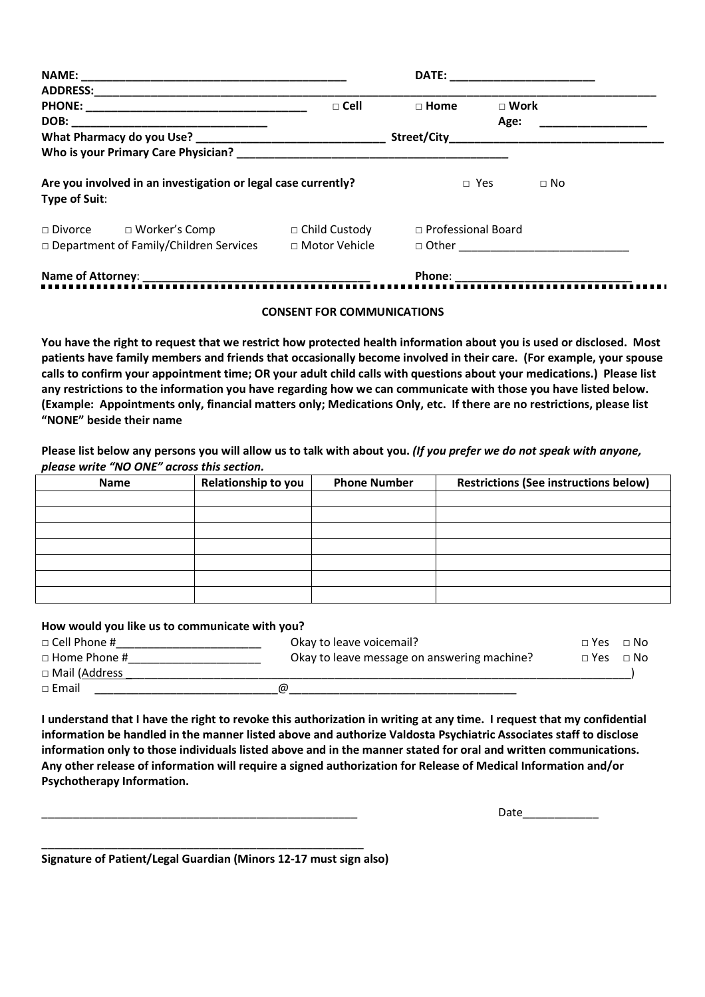| <b>NAME:</b>                                                                    |                                         | <b>DATE:</b>              |               |
|---------------------------------------------------------------------------------|-----------------------------------------|---------------------------|---------------|
| <b>ADDRESS:</b>                                                                 |                                         |                           |               |
| <b>PHONE:</b>                                                                   | $\Box$ Cell                             | $\sqcap$ Home             | $\sqcap$ Work |
| DOB:                                                                            |                                         |                           | Age:          |
| What Pharmacy do you Use?                                                       |                                         | Street/City               |               |
| Who is your Primary Care Physician?                                             |                                         |                           |               |
| Are you involved in an investigation or legal case currently?<br>Type of Suit:  |                                         | $\Box$ Yes                | $\Box$ No     |
| $\Box$ Divorce $\Box$ Worker's Comp<br>□ Department of Family/Children Services | $\Box$ Child Custody<br>□ Motor Vehicle | $\Box$ Professional Board |               |
| Name of Attorney:                                                               |                                         | <b>Dhone</b>              |               |

# **Name of Attorney**: \_\_\_\_\_\_\_\_\_\_\_\_\_\_\_\_\_\_\_\_\_\_\_\_\_\_\_\_\_\_\_\_\_\_\_\_ **Phone**: \_\_\_\_\_\_\_\_\_\_\_\_\_\_\_\_\_\_\_\_\_\_\_\_\_\_\_\_

#### **CONSENT FOR COMMUNICATIONS**

**You have the right to request that we restrict how protected health information about you is used or disclosed. Most patients have family members and friends that occasionally become involved in their care. (For example, your spouse calls to confirm your appointment time; OR your adult child calls with questions about your medications.) Please list any restrictions to the information you have regarding how we can communicate with those you have listed below. (Example: Appointments only, financial matters only; Medications Only, etc. If there are no restrictions, please list "NONE" beside their name** 

**Please list below any persons you will allow us to talk with about you.** *(If you prefer we do not speak with anyone, please write "NO ONE" across this section.* 

| <b>Name</b> | Relationship to you | <b>Phone Number</b> | <b>Restrictions (See instructions below)</b> |
|-------------|---------------------|---------------------|----------------------------------------------|
|             |                     |                     |                                              |
|             |                     |                     |                                              |
|             |                     |                     |                                              |
|             |                     |                     |                                              |
|             |                     |                     |                                              |
|             |                     |                     |                                              |
|             |                     |                     |                                              |

#### **How would you like us to communicate with you?**

| $\Box$ Cell Phone # | Okay to leave voicemail?                    | $\Box$ Yes $\Box$ No |  |
|---------------------|---------------------------------------------|----------------------|--|
| $\Box$ Home Phone # | Okay to leave message on answering machine? | $\Box$ Yes $\Box$ No |  |
| □ Mail (Address     |                                             |                      |  |
| $\sqcap$ Email      | ω                                           |                      |  |

**I understand that I have the right to revoke this authorization in writing at any time. I request that my confidential information be handled in the manner listed above and authorize Valdosta Psychiatric Associates staff to disclose information only to those individuals listed above and in the manner stated for oral and written communications. Any other release of information will require a signed authorization for Release of Medical Information and/or Psychotherapy Information.** 

Date

**Signature of Patient/Legal Guardian (Minors 12-17 must sign also)**

\_\_\_\_\_\_\_\_\_\_\_\_\_\_\_\_\_\_\_\_\_\_\_\_\_\_\_\_\_\_\_\_\_\_\_\_\_\_\_\_\_\_\_\_\_\_\_\_\_\_\_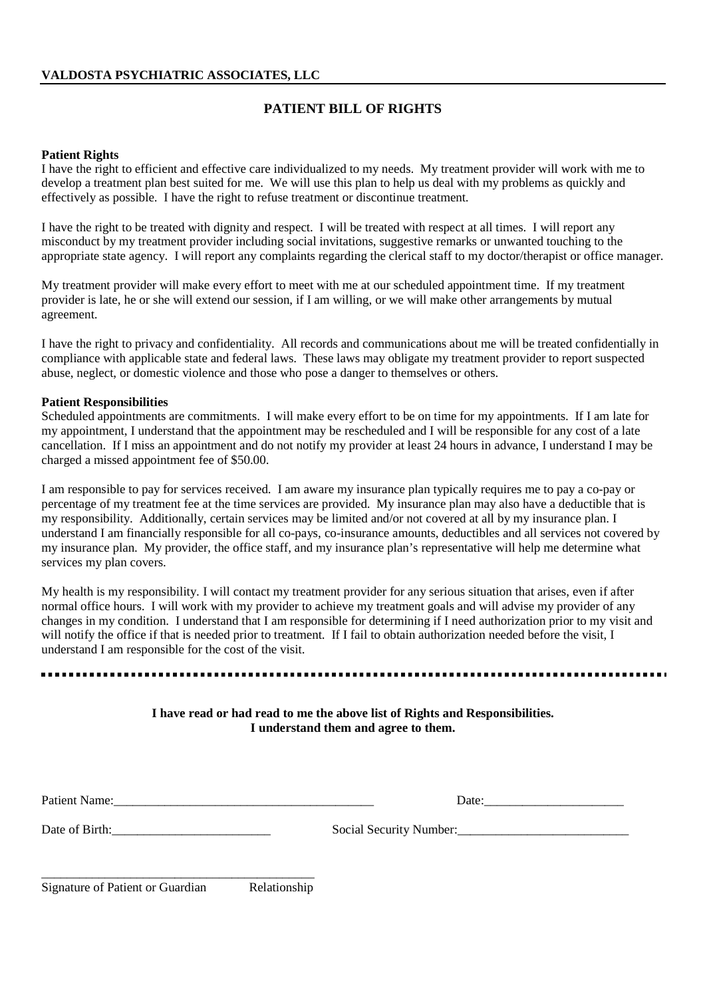# **PATIENT BILL OF RIGHTS**

#### **Patient Rights**

I have the right to efficient and effective care individualized to my needs. My treatment provider will work with me to develop a treatment plan best suited for me. We will use this plan to help us deal with my problems as quickly and effectively as possible. I have the right to refuse treatment or discontinue treatment.

I have the right to be treated with dignity and respect. I will be treated with respect at all times. I will report any misconduct by my treatment provider including social invitations, suggestive remarks or unwanted touching to the appropriate state agency. I will report any complaints regarding the clerical staff to my doctor/therapist or office manager.

My treatment provider will make every effort to meet with me at our scheduled appointment time. If my treatment provider is late, he or she will extend our session, if I am willing, or we will make other arrangements by mutual agreement.

I have the right to privacy and confidentiality. All records and communications about me will be treated confidentially in compliance with applicable state and federal laws. These laws may obligate my treatment provider to report suspected abuse, neglect, or domestic violence and those who pose a danger to themselves or others.

#### **Patient Responsibilities**

Scheduled appointments are commitments. I will make every effort to be on time for my appointments. If I am late for my appointment, I understand that the appointment may be rescheduled and I will be responsible for any cost of a late cancellation. If I miss an appointment and do not notify my provider at least 24 hours in advance, I understand I may be charged a missed appointment fee of \$50.00.

I am responsible to pay for services received. I am aware my insurance plan typically requires me to pay a co-pay or percentage of my treatment fee at the time services are provided. My insurance plan may also have a deductible that is my responsibility. Additionally, certain services may be limited and/or not covered at all by my insurance plan. I understand I am financially responsible for all co-pays, co-insurance amounts, deductibles and all services not covered by my insurance plan. My provider, the office staff, and my insurance plan's representative will help me determine what services my plan covers.

My health is my responsibility. I will contact my treatment provider for any serious situation that arises, even if after normal office hours. I will work with my provider to achieve my treatment goals and will advise my provider of any changes in my condition. I understand that I am responsible for determining if I need authorization prior to my visit and will notify the office if that is needed prior to treatment. If I fail to obtain authorization needed before the visit, I understand I am responsible for the cost of the visit.

> **I have read or had read to me the above list of Rights and Responsibilities. I understand them and agree to them.**

Patient Name:\_\_\_\_\_\_\_\_\_\_\_\_\_\_\_\_\_\_\_\_\_\_\_\_\_\_\_\_\_\_\_\_\_\_\_\_\_\_\_\_\_ Date:\_\_\_\_\_\_\_\_\_\_\_\_\_\_\_\_\_\_\_\_\_\_

Date of Birth:\_\_\_\_\_\_\_\_\_\_\_\_\_\_\_\_\_\_\_\_\_\_\_\_\_ Social Security Number:\_\_\_\_\_\_\_\_\_\_\_\_\_\_\_\_\_\_\_\_\_\_\_\_\_\_\_

\_\_\_\_\_\_\_\_\_\_\_\_\_\_\_\_\_\_\_\_\_\_\_\_\_\_\_\_\_\_\_\_\_\_\_\_\_\_\_\_\_\_\_ Signature of Patient or Guardian Relationship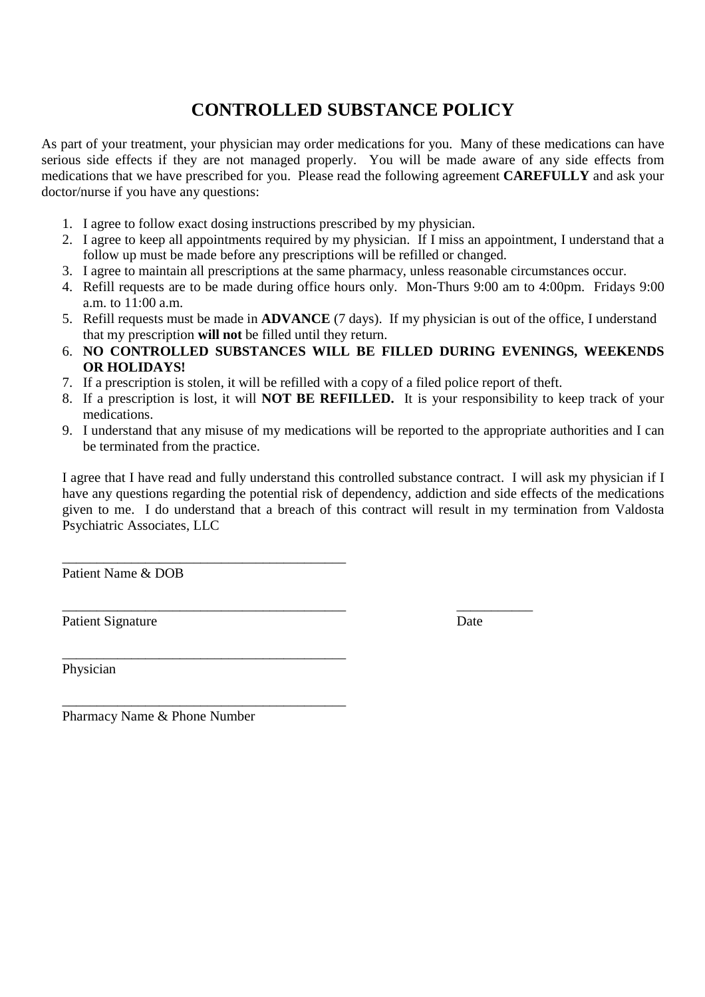# **CONTROLLED SUBSTANCE POLICY**

As part of your treatment, your physician may order medications for you. Many of these medications can have serious side effects if they are not managed properly. You will be made aware of any side effects from medications that we have prescribed for you. Please read the following agreement **CAREFULLY** and ask your doctor/nurse if you have any questions:

- 1. I agree to follow exact dosing instructions prescribed by my physician.
- 2. I agree to keep all appointments required by my physician. If I miss an appointment, I understand that a follow up must be made before any prescriptions will be refilled or changed.
- 3. I agree to maintain all prescriptions at the same pharmacy, unless reasonable circumstances occur.
- 4. Refill requests are to be made during office hours only. Mon-Thurs 9:00 am to 4:00pm. Fridays 9:00 a.m. to 11:00 a.m.
- 5. Refill requests must be made in **ADVANCE** (7 days). If my physician is out of the office, I understand that my prescription **will not** be filled until they return.
- 6. **NO CONTROLLED SUBSTANCES WILL BE FILLED DURING EVENINGS, WEEKENDS OR HOLIDAYS!**
- 7. If a prescription is stolen, it will be refilled with a copy of a filed police report of theft.
- 8. If a prescription is lost, it will **NOT BE REFILLED.** It is your responsibility to keep track of your medications.
- 9. I understand that any misuse of my medications will be reported to the appropriate authorities and I can be terminated from the practice.

I agree that I have read and fully understand this controlled substance contract. I will ask my physician if I have any questions regarding the potential risk of dependency, addiction and side effects of the medications given to me. I do understand that a breach of this contract will result in my termination from Valdosta Psychiatric Associates, LLC

Patient Name & DOB

Patient Signature Date

\_\_\_\_\_\_\_\_\_\_\_\_\_\_\_\_\_\_\_\_\_\_\_\_\_\_\_\_\_\_\_\_\_\_\_\_\_\_\_\_\_ \_\_\_\_\_\_\_\_\_\_\_

Physician

Pharmacy Name & Phone Number

\_\_\_\_\_\_\_\_\_\_\_\_\_\_\_\_\_\_\_\_\_\_\_\_\_\_\_\_\_\_\_\_\_\_\_\_\_\_\_\_\_

\_\_\_\_\_\_\_\_\_\_\_\_\_\_\_\_\_\_\_\_\_\_\_\_\_\_\_\_\_\_\_\_\_\_\_\_\_\_\_\_\_

\_\_\_\_\_\_\_\_\_\_\_\_\_\_\_\_\_\_\_\_\_\_\_\_\_\_\_\_\_\_\_\_\_\_\_\_\_\_\_\_\_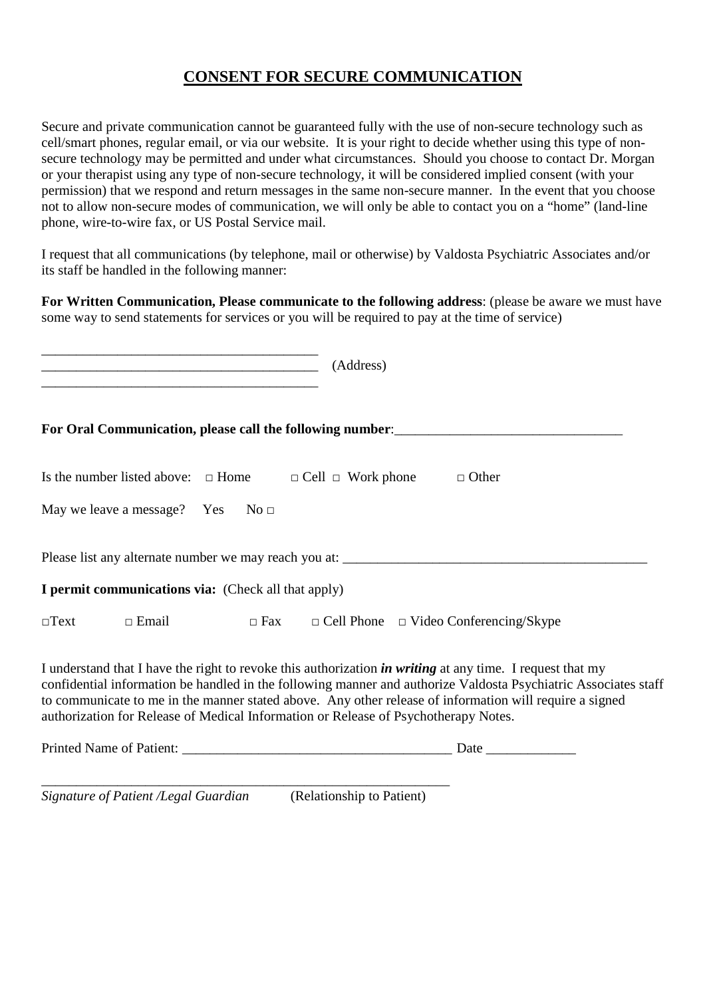# **CONSENT FOR SECURE COMMUNICATION**

Secure and private communication cannot be guaranteed fully with the use of non-secure technology such as cell/smart phones, regular email, or via our website. It is your right to decide whether using this type of nonsecure technology may be permitted and under what circumstances. Should you choose to contact Dr. Morgan or your therapist using any type of non-secure technology, it will be considered implied consent (with your permission) that we respond and return messages in the same non-secure manner. In the event that you choose not to allow non-secure modes of communication, we will only be able to contact you on a "home" (land-line phone, wire-to-wire fax, or US Postal Service mail.

I request that all communications (by telephone, mail or otherwise) by Valdosta Psychiatric Associates and/or its staff be handled in the following manner:

**For Written Communication, Please communicate to the following address**: (please be aware we must have some way to send statements for services or you will be required to pay at the time of service)

| (Address)<br><u> 1980 - Johann Barn, mars an t-Amerikaansk politiker (* 1918)</u>                                                                                                                                                                                                                                                                                                                                                     |  |
|---------------------------------------------------------------------------------------------------------------------------------------------------------------------------------------------------------------------------------------------------------------------------------------------------------------------------------------------------------------------------------------------------------------------------------------|--|
| For Oral Communication, please call the following number: _______________________                                                                                                                                                                                                                                                                                                                                                     |  |
| Is the number listed above: $\Box$ Home $\Box$ Cell $\Box$ Work phone $\Box$ Other                                                                                                                                                                                                                                                                                                                                                    |  |
| May we leave a message? Yes $No \square$                                                                                                                                                                                                                                                                                                                                                                                              |  |
|                                                                                                                                                                                                                                                                                                                                                                                                                                       |  |
| I permit communications via: (Check all that apply)                                                                                                                                                                                                                                                                                                                                                                                   |  |
| $\square$ Text $\square$ Email $\square$ Fax $\square$ Cell Phone $\square$ Video Conferencing/Skype                                                                                                                                                                                                                                                                                                                                  |  |
| I understand that I have the right to revoke this authorization <i>in writing</i> at any time. I request that my<br>confidential information be handled in the following manner and authorize Valdosta Psychiatric Associates staff<br>to communicate to me in the manner stated above. Any other release of information will require a signed<br>authorization for Release of Medical Information or Release of Psychotherapy Notes. |  |
|                                                                                                                                                                                                                                                                                                                                                                                                                                       |  |

*Signature of Patient /Legal Guardian* (Relationship to Patient)

\_\_\_\_\_\_\_\_\_\_\_\_\_\_\_\_\_\_\_\_\_\_\_\_\_\_\_\_\_\_\_\_\_\_\_\_\_\_\_\_\_\_\_\_\_\_\_\_\_\_\_\_\_\_\_\_\_\_\_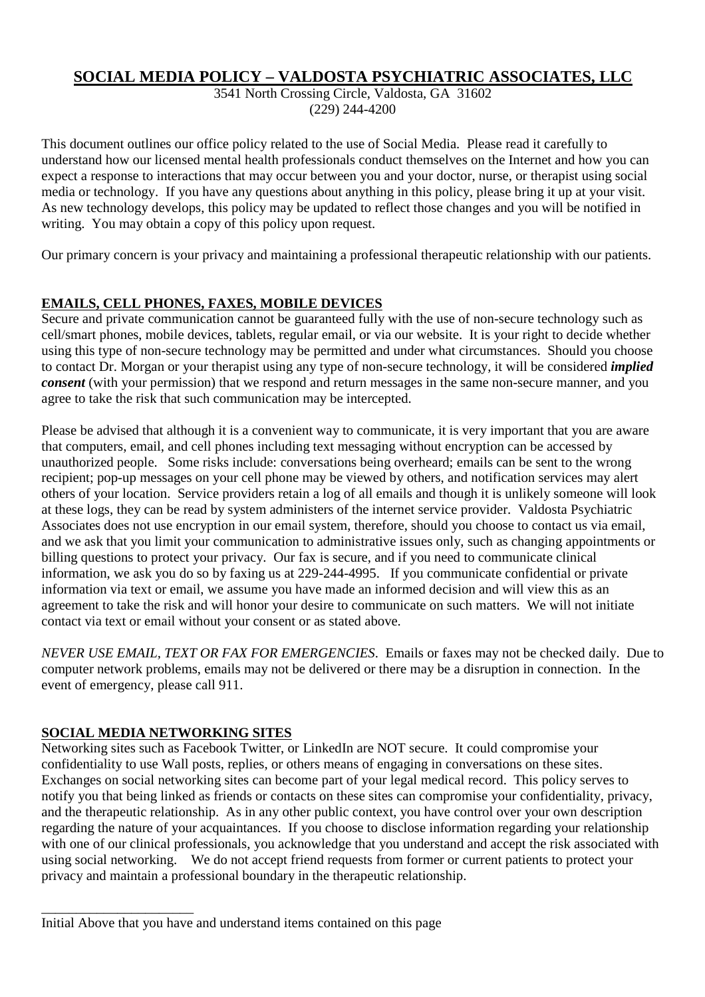# **SOCIAL MEDIA POLICY – VALDOSTA PSYCHIATRIC ASSOCIATES, LLC**

3541 North Crossing Circle, Valdosta, GA 31602 (229) 244-4200

This document outlines our office policy related to the use of Social Media. Please read it carefully to understand how our licensed mental health professionals conduct themselves on the Internet and how you can expect a response to interactions that may occur between you and your doctor, nurse, or therapist using social media or technology. If you have any questions about anything in this policy, please bring it up at your visit. As new technology develops, this policy may be updated to reflect those changes and you will be notified in writing. You may obtain a copy of this policy upon request.

Our primary concern is your privacy and maintaining a professional therapeutic relationship with our patients.

# **EMAILS, CELL PHONES, FAXES, MOBILE DEVICES**

Secure and private communication cannot be guaranteed fully with the use of non-secure technology such as cell/smart phones, mobile devices, tablets, regular email, or via our website. It is your right to decide whether using this type of non-secure technology may be permitted and under what circumstances. Should you choose to contact Dr. Morgan or your therapist using any type of non-secure technology, it will be considered *implied consent* (with your permission) that we respond and return messages in the same non-secure manner, and you agree to take the risk that such communication may be intercepted.

Please be advised that although it is a convenient way to communicate, it is very important that you are aware that computers, email, and cell phones including text messaging without encryption can be accessed by unauthorized people. Some risks include: conversations being overheard; emails can be sent to the wrong recipient; pop-up messages on your cell phone may be viewed by others, and notification services may alert others of your location. Service providers retain a log of all emails and though it is unlikely someone will look at these logs, they can be read by system administers of the internet service provider. Valdosta Psychiatric Associates does not use encryption in our email system, therefore, should you choose to contact us via email, and we ask that you limit your communication to administrative issues only, such as changing appointments or billing questions to protect your privacy. Our fax is secure, and if you need to communicate clinical information, we ask you do so by faxing us at 229-244-4995. If you communicate confidential or private information via text or email, we assume you have made an informed decision and will view this as an agreement to take the risk and will honor your desire to communicate on such matters. We will not initiate contact via text or email without your consent or as stated above.

*NEVER USE EMAIL, TEXT OR FAX FOR EMERGENCIES*. Emails or faxes may not be checked daily. Due to computer network problems, emails may not be delivered or there may be a disruption in connection. In the event of emergency, please call 911.

# **SOCIAL MEDIA NETWORKING SITES**

\_\_\_\_\_\_\_\_\_\_\_\_\_\_\_\_\_\_\_\_\_\_

Networking sites such as Facebook Twitter, or LinkedIn are NOT secure. It could compromise your confidentiality to use Wall posts, replies, or others means of engaging in conversations on these sites. Exchanges on social networking sites can become part of your legal medical record. This policy serves to notify you that being linked as friends or contacts on these sites can compromise your confidentiality, privacy, and the therapeutic relationship. As in any other public context, you have control over your own description regarding the nature of your acquaintances. If you choose to disclose information regarding your relationship with one of our clinical professionals, you acknowledge that you understand and accept the risk associated with using social networking. We do not accept friend requests from former or current patients to protect your privacy and maintain a professional boundary in the therapeutic relationship.

Initial Above that you have and understand items contained on this page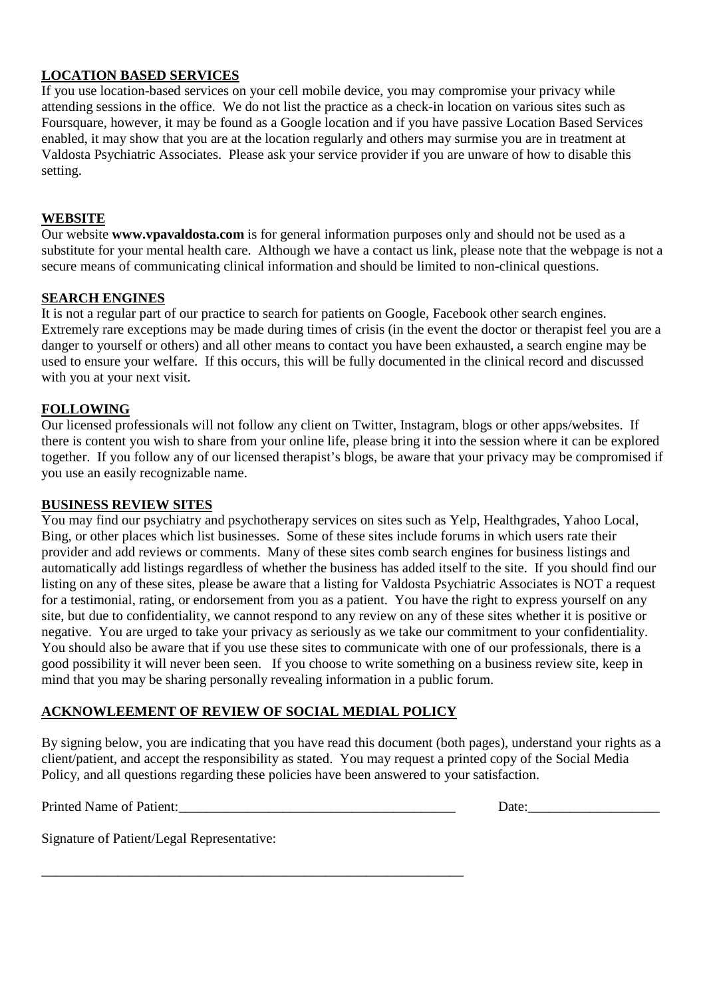# **LOCATION BASED SERVICES**

If you use location-based services on your cell mobile device, you may compromise your privacy while attending sessions in the office. We do not list the practice as a check-in location on various sites such as Foursquare, however, it may be found as a Google location and if you have passive Location Based Services enabled, it may show that you are at the location regularly and others may surmise you are in treatment at Valdosta Psychiatric Associates. Please ask your service provider if you are unware of how to disable this setting.

### **WEBSITE**

Our website **www.vpavaldosta.com** is for general information purposes only and should not be used as a substitute for your mental health care. Although we have a contact us link, please note that the webpage is not a secure means of communicating clinical information and should be limited to non-clinical questions.

### **SEARCH ENGINES**

It is not a regular part of our practice to search for patients on Google, Facebook other search engines. Extremely rare exceptions may be made during times of crisis (in the event the doctor or therapist feel you are a danger to yourself or others) and all other means to contact you have been exhausted, a search engine may be used to ensure your welfare. If this occurs, this will be fully documented in the clinical record and discussed with you at your next visit.

### **FOLLOWING**

Our licensed professionals will not follow any client on Twitter, Instagram, blogs or other apps/websites. If there is content you wish to share from your online life, please bring it into the session where it can be explored together. If you follow any of our licensed therapist's blogs, be aware that your privacy may be compromised if you use an easily recognizable name.

### **BUSINESS REVIEW SITES**

You may find our psychiatry and psychotherapy services on sites such as Yelp, Healthgrades, Yahoo Local, Bing, or other places which list businesses. Some of these sites include forums in which users rate their provider and add reviews or comments. Many of these sites comb search engines for business listings and automatically add listings regardless of whether the business has added itself to the site. If you should find our listing on any of these sites, please be aware that a listing for Valdosta Psychiatric Associates is NOT a request for a testimonial, rating, or endorsement from you as a patient. You have the right to express yourself on any site, but due to confidentiality, we cannot respond to any review on any of these sites whether it is positive or negative. You are urged to take your privacy as seriously as we take our commitment to your confidentiality. You should also be aware that if you use these sites to communicate with one of our professionals, there is a good possibility it will never been seen. If you choose to write something on a business review site, keep in mind that you may be sharing personally revealing information in a public forum.

# **ACKNOWLEEMENT OF REVIEW OF SOCIAL MEDIAL POLICY**

\_\_\_\_\_\_\_\_\_\_\_\_\_\_\_\_\_\_\_\_\_\_\_\_\_\_\_\_\_\_\_\_\_\_\_\_\_\_\_\_\_\_\_\_\_\_\_\_\_\_\_\_\_\_\_\_\_\_\_\_\_

By signing below, you are indicating that you have read this document (both pages), understand your rights as a client/patient, and accept the responsibility as stated. You may request a printed copy of the Social Media Policy, and all questions regarding these policies have been answered to your satisfaction.

Printed Name of Patient:

| ~<br>Date: |  |  |  |  |
|------------|--|--|--|--|
|            |  |  |  |  |
|            |  |  |  |  |

Signature of Patient/Legal Representative: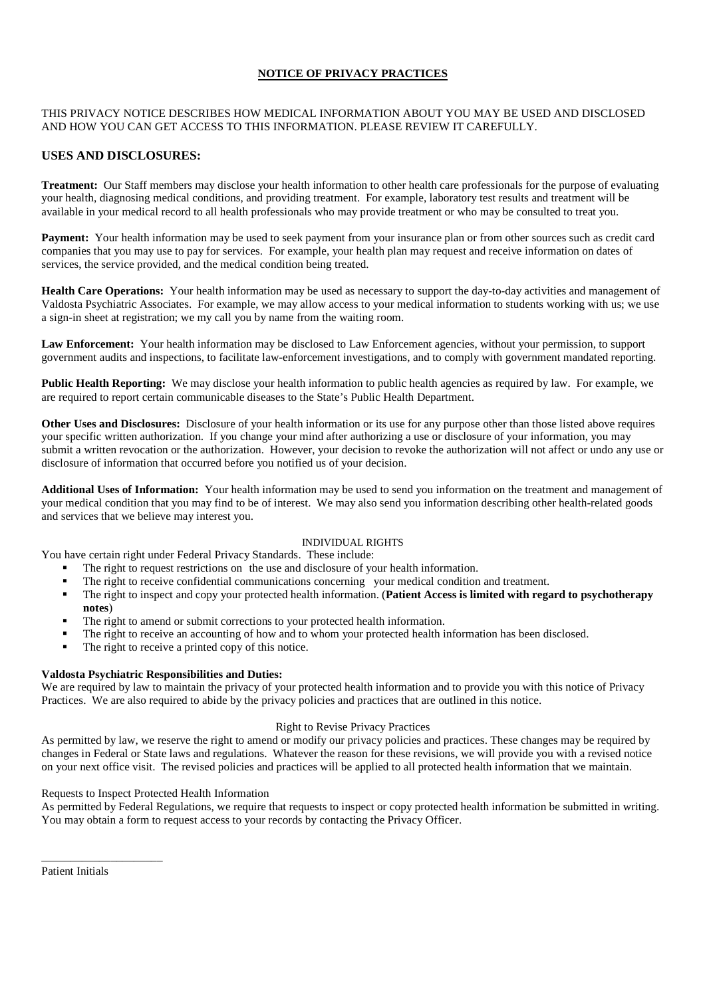#### **NOTICE OF PRIVACY PRACTICES**

#### THIS PRIVACY NOTICE DESCRIBES HOW MEDICAL INFORMATION ABOUT YOU MAY BE USED AND DISCLOSED AND HOW YOU CAN GET ACCESS TO THIS INFORMATION. PLEASE REVIEW IT CAREFULLY.

#### **USES AND DISCLOSURES:**

**Treatment:** Our Staff members may disclose your health information to other health care professionals for the purpose of evaluating your health, diagnosing medical conditions, and providing treatment. For example, laboratory test results and treatment will be available in your medical record to all health professionals who may provide treatment or who may be consulted to treat you.

**Payment:** Your health information may be used to seek payment from your insurance plan or from other sources such as credit card companies that you may use to pay for services. For example, your health plan may request and receive information on dates of services, the service provided, and the medical condition being treated.

**Health Care Operations:** Your health information may be used as necessary to support the day-to-day activities and management of Valdosta Psychiatric Associates. For example, we may allow access to your medical information to students working with us; we use a sign-in sheet at registration; we my call you by name from the waiting room.

**Law Enforcement:** Your health information may be disclosed to Law Enforcement agencies, without your permission, to support government audits and inspections, to facilitate law-enforcement investigations, and to comply with government mandated reporting.

**Public Health Reporting:** We may disclose your health information to public health agencies as required by law. For example, we are required to report certain communicable diseases to the State's Public Health Department.

**Other Uses and Disclosures:** Disclosure of your health information or its use for any purpose other than those listed above requires your specific written authorization. If you change your mind after authorizing a use or disclosure of your information, you may submit a written revocation or the authorization. However, your decision to revoke the authorization will not affect or undo any use or disclosure of information that occurred before you notified us of your decision.

**Additional Uses of Information:** Your health information may be used to send you information on the treatment and management of your medical condition that you may find to be of interest. We may also send you information describing other health-related goods and services that we believe may interest you.

#### INDIVIDUAL RIGHTS

You have certain right under Federal Privacy Standards. These include:

- The right to request restrictions on the use and disclosure of your health information.
- The right to receive confidential communications concerning your medical condition and treatment.
- The right to inspect and copy your protected health information. (**Patient Access is limited with regard to psychotherapy notes**)
- The right to amend or submit corrections to your protected health information.
- The right to receive an accounting of how and to whom your protected health information has been disclosed.
- The right to receive a printed copy of this notice.

#### **Valdosta Psychiatric Responsibilities and Duties:**

We are required by law to maintain the privacy of your protected health information and to provide you with this notice of Privacy Practices. We are also required to abide by the privacy policies and practices that are outlined in this notice.

#### Right to Revise Privacy Practices

As permitted by law, we reserve the right to amend or modify our privacy policies and practices. These changes may be required by changes in Federal or State laws and regulations. Whatever the reason for these revisions, we will provide you with a revised notice on your next office visit. The revised policies and practices will be applied to all protected health information that we maintain.

#### Requests to Inspect Protected Health Information

As permitted by Federal Regulations, we require that requests to inspect or copy protected health information be submitted in writing. You may obtain a form to request access to your records by contacting the Privacy Officer.

Patient Initials

\_\_\_\_\_\_\_\_\_\_\_\_\_\_\_\_\_\_\_\_\_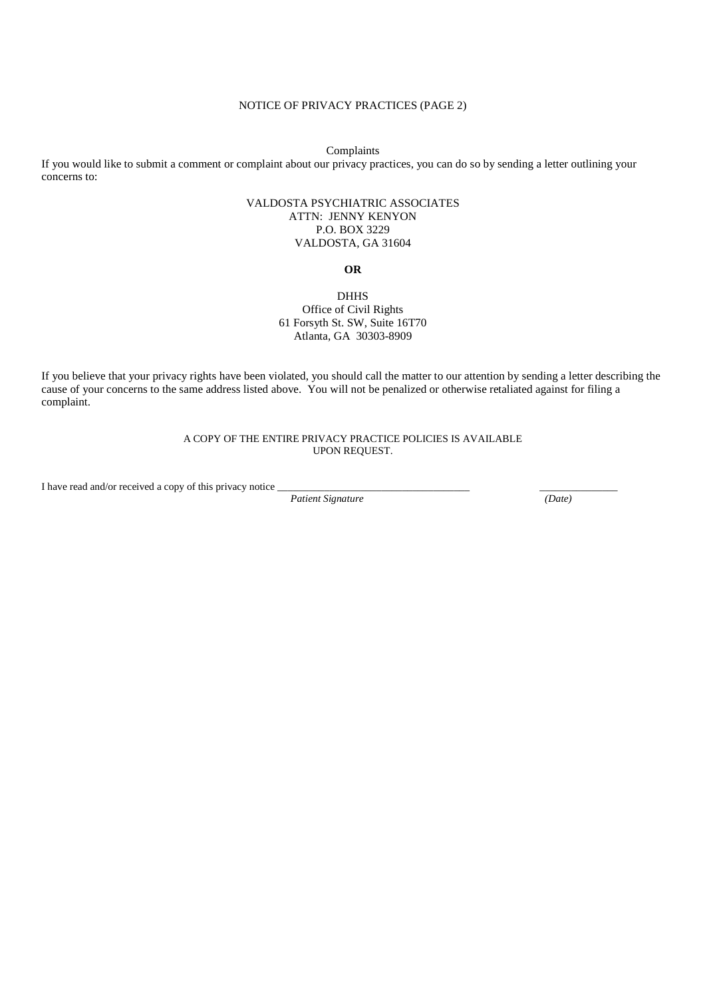#### NOTICE OF PRIVACY PRACTICES (PAGE 2)

Complaints

If you would like to submit a comment or complaint about our privacy practices, you can do so by sending a letter outlining your concerns to:

#### VALDOSTA PSYCHIATRIC ASSOCIATES ATTN: JENNY KENYON P.O. BOX 3229 VALDOSTA, GA 31604

**OR** 

#### DHHS Office of Civil Rights 61 Forsyth St. SW, Suite 16T70 Atlanta, GA 30303-8909

If you believe that your privacy rights have been violated, you should call the matter to our attention by sending a letter describing the cause of your concerns to the same address listed above. You will not be penalized or otherwise retaliated against for filing a complaint.

> A COPY OF THE ENTIRE PRIVACY PRACTICE POLICIES IS AVAILABLE UPON REQUEST.

I have read and/or received a copy of this privacy notice  $\frac{}{}$  Patient Signature (Date)

*Patient Signature*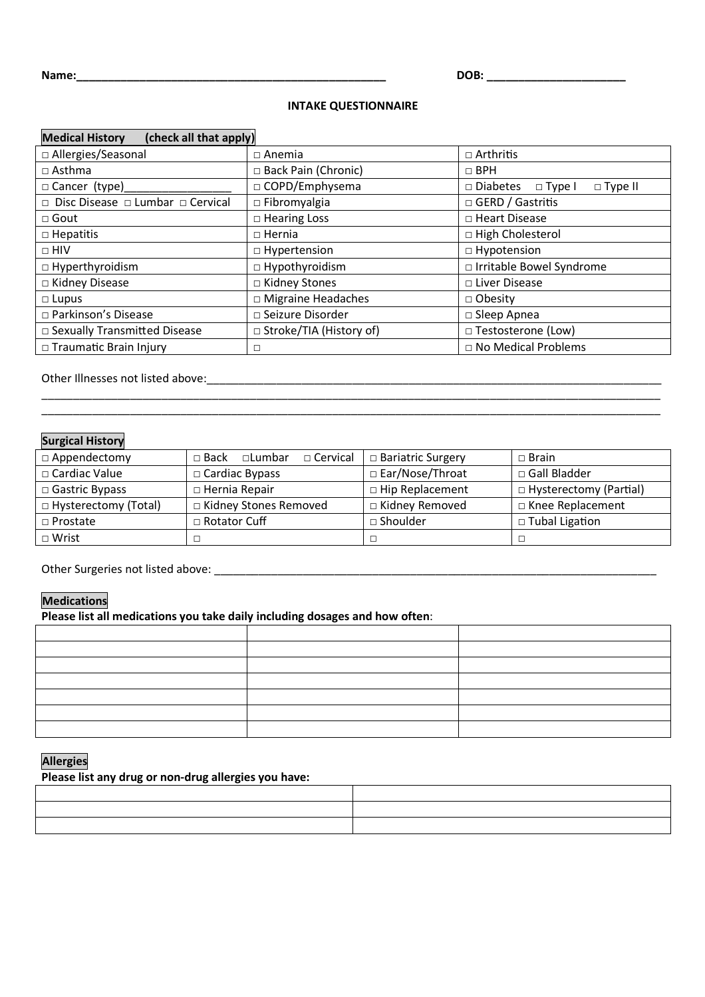#### **INTAKE QUESTIONNAIRE**

| (check all that apply)<br><b>Medical History</b>  |                                |                                                       |  |  |  |
|---------------------------------------------------|--------------------------------|-------------------------------------------------------|--|--|--|
| □ Allergies/Seasonal                              | $\Box$ Anemia                  | $\Box$ Arthritis                                      |  |  |  |
| $\Box$ Asthma                                     | □ Back Pain (Chronic)          | $\Box$ BPH                                            |  |  |  |
| □ Cancer (type)                                   | □ COPD/Emphysema               | $\Box$ Type II<br>$\square$ Diabetes $\square$ Type I |  |  |  |
| $\Box$ Disc Disease $\Box$ Lumbar $\Box$ Cervical | $\Box$ Fibromyalgia            | □ GERD / Gastritis                                    |  |  |  |
| $\Box$ Gout                                       | $\Box$ Hearing Loss            | □ Heart Disease                                       |  |  |  |
| $\Box$ Hepatitis                                  | $\Box$ Hernia                  | □ High Cholesterol                                    |  |  |  |
| $\Box$ HIV                                        | $\Box$ Hypertension            | $\Box$ Hypotension                                    |  |  |  |
| $\Box$ Hyperthyroidism                            | $\Box$ Hypothyroidism          | □ Irritable Bowel Syndrome                            |  |  |  |
| □ Kidney Disease                                  | □ Kidney Stones                | □ Liver Disease                                       |  |  |  |
| $\Box$ Lupus                                      | $\Box$ Migraine Headaches      | $\Box$ Obesity                                        |  |  |  |
| □ Parkinson's Disease                             | □ Seizure Disorder             | □ Sleep Apnea                                         |  |  |  |
| □ Sexually Transmitted Disease                    | $\Box$ Stroke/TIA (History of) | □ Testosterone (Low)                                  |  |  |  |
| □ Traumatic Brain Injury                          | □                              | $\Box$ No Medical Problems                            |  |  |  |
|                                                   |                                |                                                       |  |  |  |

Other Illnesses not listed above:\_\_\_\_\_\_\_\_\_\_\_\_\_\_\_\_\_\_\_\_\_\_\_\_\_\_\_\_\_\_\_\_\_\_\_\_\_\_\_\_\_\_\_\_\_\_\_\_\_\_\_\_\_\_\_\_\_\_\_\_\_\_\_\_\_\_\_\_\_\_\_\_

### **Surgical History**

| $\Box$ Appendectomy    | $\Box$ Cervical<br>$\sqcap$ Back $\sqcap$<br>$\Box$ Lumbar | □ Bariatric Surgery    | $\Box$ Brain             |
|------------------------|------------------------------------------------------------|------------------------|--------------------------|
| $\Box$ Cardiac Value   | $\Box$ Cardiac Bypass                                      | □ Ear/Nose/Throat      | □ Gall Bladder           |
| $\Box$ Gastric Bypass  | □ Hernia Repair                                            | $\Box$ Hip Replacement | □ Hysterectomy (Partial) |
| □ Hysterectomy (Total) | □ Kidney Stones Removed                                    | □ Kidney Removed       | □ Knee Replacement       |
| $\Box$ Prostate        | □ Rotator Cuff                                             | $\square$ Shoulder     | $\Box$ Tubal Ligation    |
| $\Box$ Wrist           |                                                            |                        |                          |

 $\overline{\phantom{a}}$  , and the set of the set of the set of the set of the set of the set of the set of the set of the set of the set of the set of the set of the set of the set of the set of the set of the set of the set of the s  $\overline{\phantom{a}}$  , and the set of the set of the set of the set of the set of the set of the set of the set of the set of the set of the set of the set of the set of the set of the set of the set of the set of the set of the s

Other Surgeries not listed above: \_\_\_\_\_\_\_\_\_\_\_\_\_\_\_\_\_\_\_\_\_\_\_\_\_\_\_\_\_\_\_\_\_\_\_\_\_\_\_\_\_\_\_\_\_\_\_\_\_\_\_\_\_\_\_\_\_\_\_\_\_\_\_\_\_\_\_\_\_\_

#### **Medications**

**Please list all medications you take daily including dosages and how often**:

#### **Allergies**

**Please list any drug or non-drug allergies you have:**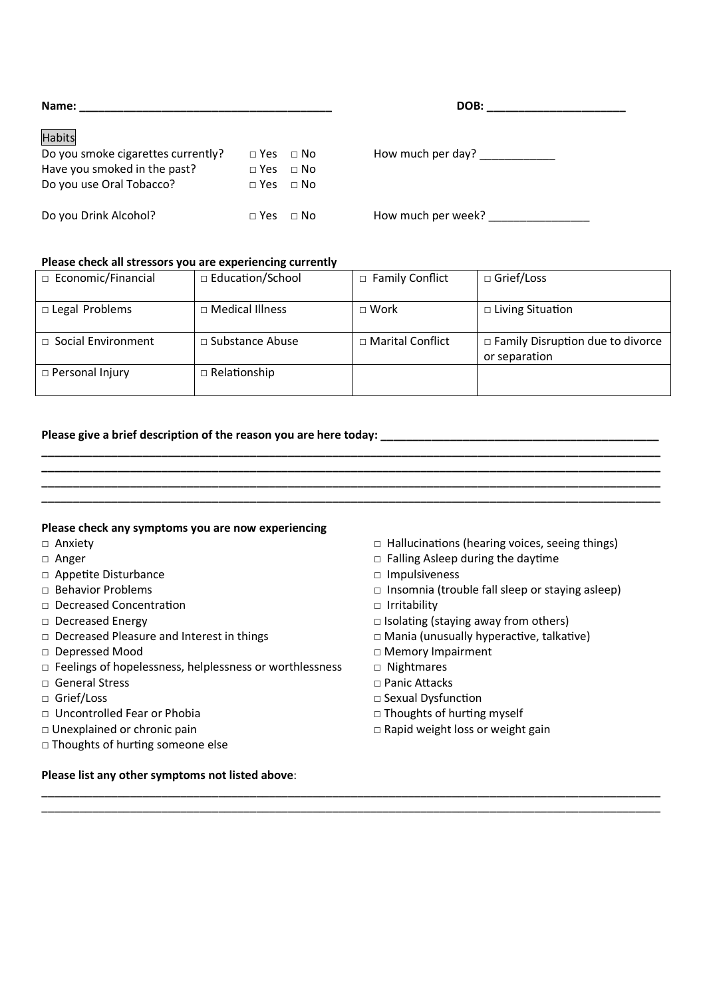| Name:                              |              |             |  |
|------------------------------------|--------------|-------------|--|
| Habits                             |              |             |  |
| Do you smoke cigarettes currently? | $\sqcap$ Yes | $\sqcap$ No |  |
| Have you smoked in the past?       | $\sqcap$ Yes | $\Box$ No   |  |
| Do you use Oral Tobacco?           | $\sqcap$ Yes | $\sqcap$ No |  |
|                                    |              |             |  |
| Do you Drink Alcohol?              | $\Box$ Yes   | $\sqcap$ No |  |

 $\mathsf{How}$  much per day?  $\Box$ 

How much per week?

#### **Please check all stressors you are experiencing currently**

| □ Economic/Financial      | $\Box$ Education/School | □ Family Conflict       | □ Grief/Loss                                        |
|---------------------------|-------------------------|-------------------------|-----------------------------------------------------|
| □ Legal Problems          | $\Box$ Medical Illness  | $\sqcap$ Work           | $\Box$ Living Situation                             |
| $\Box$ Social Environment | $\Box$ Substance Abuse  | $\Box$ Marital Conflict | □ Family Disruption due to divorce<br>or separation |
| $\Box$ Personal Injury    | $\Box$ Relationship     |                         |                                                     |

**\_\_\_\_\_\_\_\_\_\_\_\_\_\_\_\_\_\_\_\_\_\_\_\_\_\_\_\_\_\_\_\_\_\_\_\_\_\_\_\_\_\_\_\_\_\_\_\_\_\_\_\_\_\_\_\_\_\_\_\_\_\_\_\_\_\_\_\_\_\_\_\_\_\_\_\_\_\_\_\_\_\_\_\_\_\_\_\_\_\_\_\_\_\_\_\_\_\_ \_\_\_\_\_\_\_\_\_\_\_\_\_\_\_\_\_\_\_\_\_\_\_\_\_\_\_\_\_\_\_\_\_\_\_\_\_\_\_\_\_\_\_\_\_\_\_\_\_\_\_\_\_\_\_\_\_\_\_\_\_\_\_\_\_\_\_\_\_\_\_\_\_\_\_\_\_\_\_\_\_\_\_\_\_\_\_\_\_\_\_\_\_\_\_\_\_\_ \_\_\_\_\_\_\_\_\_\_\_\_\_\_\_\_\_\_\_\_\_\_\_\_\_\_\_\_\_\_\_\_\_\_\_\_\_\_\_\_\_\_\_\_\_\_\_\_\_\_\_\_\_\_\_\_\_\_\_\_\_\_\_\_\_\_\_\_\_\_\_\_\_\_\_\_\_\_\_\_\_\_\_\_\_\_\_\_\_\_\_\_\_\_\_\_\_\_ \_\_\_\_\_\_\_\_\_\_\_\_\_\_\_\_\_\_\_\_\_\_\_\_\_\_\_\_\_\_\_\_\_\_\_\_\_\_\_\_\_\_\_\_\_\_\_\_\_\_\_\_\_\_\_\_\_\_\_\_\_\_\_\_\_\_\_\_\_\_\_\_\_\_\_\_\_\_\_\_\_\_\_\_\_\_\_\_\_\_\_\_\_\_\_\_\_\_** 

 $\_$  ,  $\_$  ,  $\_$  ,  $\_$  ,  $\_$  ,  $\_$  ,  $\_$  ,  $\_$  ,  $\_$  ,  $\_$  ,  $\_$  ,  $\_$  ,  $\_$  ,  $\_$  ,  $\_$  ,  $\_$  ,  $\_$  ,  $\_$  ,  $\_$  ,  $\_$  ,  $\_$  ,  $\_$  ,  $\_$  ,  $\_$  ,  $\_$  ,  $\_$  ,  $\_$  ,  $\_$  ,  $\_$  ,  $\_$  ,  $\_$  ,  $\_$  ,  $\_$  ,  $\_$  ,  $\_$  ,  $\_$  ,  $\_$  ,  $\_$  ,  $\_$  ,  $\_$  ,  $\_$  ,  $\_$  ,  $\_$  ,  $\_$  ,  $\_$  ,  $\_$  ,  $\_$  ,  $\_$  ,  $\_$  ,  $\_$  ,  $\_$  ,  $\_$  ,  $\_$  ,  $\_$  ,  $\_$  ,  $\_$  ,  $\_$  ,  $\_$  ,  $\_$  ,  $\_$  ,  $\_$  ,  $\_$  ,  $\_$  ,  $\_$  ,  $\_$  ,  $\_$  ,  $\_$  ,  $\_$  ,  $\_$  ,  $\_$  ,  $\_$  ,  $\_$  ,  $\_$  ,  $\_$  ,

#### **Please give a brief description of the reason you are here today: \_\_\_\_\_\_\_\_\_\_\_\_\_\_\_\_\_\_\_\_\_\_\_\_\_\_\_\_\_\_\_\_\_\_\_\_\_\_\_\_\_\_\_\_**

#### **Please check any symptoms you are now experiencing**

- 
- 
- □ Appetite Disturbance □ Impulsiveness
- 
- □ Decreased Concentration □ Irritability
- 
- □ Decreased Pleasure and Interest in things □ Interventival unusually hyperactive, talkative)
- 
- □ Feelings of hopelessness, helplessness or worthlessness □ Nightmares
- □ General Stress □ Panic Attacks
- 
- 
- 
- □ Thoughts of hurting someone else

#### **Please list any other symptoms not listed above**:

- □ Anxiety □ Anxiety □ Anxiety □ Hallucinations (hearing voices, seeing things)
- □ Anger □ Anger □ Palling Asleep during the daytime
	-
- □ Behavior Problems □ Insomnia (trouble fall sleep or staying asleep)
	-
- □ Decreased Energy □ Isolating (staying away from others)
	-
- □ Depressed Mood □ □ Depressed Mood
	-
	-
- □ Grief/Loss □ Sexual Dysfunction
- □ Uncontrolled Fear or Phobia □ □ □ Thoughts of hurting myself
- □ Unexplained or chronic pain and all the state of the state of Rapid weight loss or weight gain

**Name: \_\_\_\_\_\_\_\_\_\_\_\_\_\_\_\_\_\_\_\_\_\_\_\_\_\_\_\_\_\_\_\_\_\_\_\_\_\_\_\_ DOB: \_\_\_\_\_\_\_\_\_\_\_\_\_\_\_\_\_\_\_\_\_\_**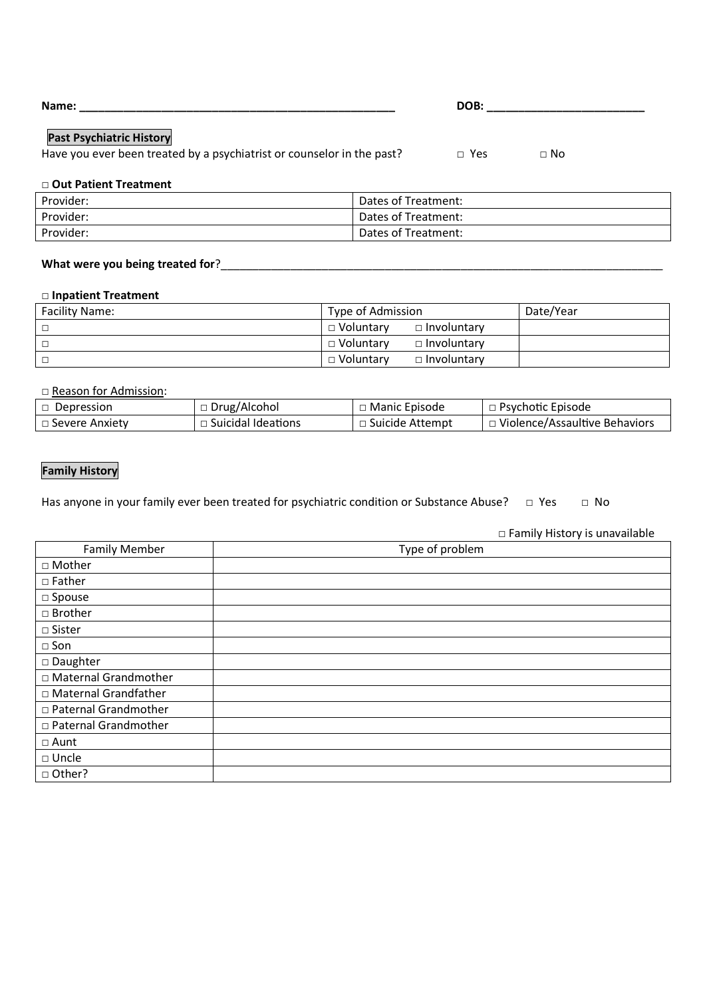| Name:                           | DOB: |
|---------------------------------|------|
|                                 |      |
| <b>Past Psychiatric History</b> |      |

#### **Past Psychiatric History**

| Have you ever been treated by a psychiatrist or counselor in the past? |  | □ Yes | □ No |
|------------------------------------------------------------------------|--|-------|------|
|------------------------------------------------------------------------|--|-------|------|

#### □ **Out Patient Treatment**

| Provider: | Dates of Treatment: |
|-----------|---------------------|
| Provider: | Dates of Treatment: |
| Provider: | Dates of Treatment: |

#### What were you being treated for?

#### □ **Inpatient Treatment**

| <b>Facility Name:</b> | Type of Admission                 | Date/Year |
|-----------------------|-----------------------------------|-----------|
|                       | $\Box$ Involuntary<br>□ Voluntarv |           |
|                       | $\Box$ Involuntary<br>□ Voluntarv |           |
|                       | □ Voluntarv<br>$\Box$ Involuntary |           |

□ Reason for Admission:

| $\Box$ Depression | $\Box$ Drug/Alcohol       | $\Box$ Manic Episode | $\Box$ Psychotic Episode        |
|-------------------|---------------------------|----------------------|---------------------------------|
| □ Severe Anxiety  | $\Box$ Suicidal Ideations | □ Suicide Attempt    | J Violence/Assaultive Behaviors |

#### **Family History**

Has anyone in your family ever been treated for psychiatric condition or Substance Abuse? □ Yes □ No

Family Member **Type of problem** □ Mother □ Father □ Spouse □ Brother □ Sister □ Son □ Daughter □ Maternal Grandmother □ Maternal Grandfather □ Paternal Grandmother □ Paternal Grandmother □ Aunt □ Uncle □ Other?

□ Family History is unavailable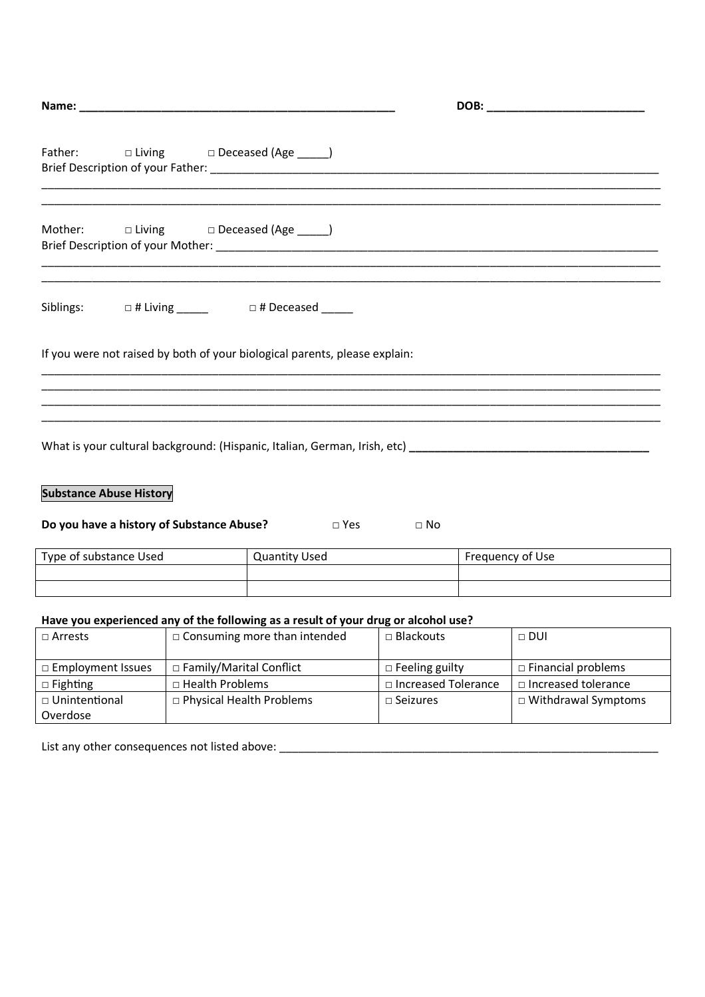|                                | Name: Name:                                                                        |             | DOB: with the contract of the contract of the contract of the contract of the contract of the contract of the contract of the contract of the contract of the contract of the contract of the contract of the contract of the |  |
|--------------------------------|------------------------------------------------------------------------------------|-------------|-------------------------------------------------------------------------------------------------------------------------------------------------------------------------------------------------------------------------------|--|
|                                | Father: $\Box$ Living $\Box$ Deceased (Age _____)                                  |             |                                                                                                                                                                                                                               |  |
|                                |                                                                                    |             |                                                                                                                                                                                                                               |  |
| Siblings:                      | □ # Living _______    □ # Deceased ______                                          |             |                                                                                                                                                                                                                               |  |
|                                | If you were not raised by both of your biological parents, please explain:         |             |                                                                                                                                                                                                                               |  |
|                                |                                                                                    |             |                                                                                                                                                                                                                               |  |
| <b>Substance Abuse History</b> | Do you have a history of Substance Abuse?<br>□ Yes                                 | $\Box$ No   |                                                                                                                                                                                                                               |  |
| Type of substance Used         | <b>Quantity Used</b>                                                               |             | Frequency of Use                                                                                                                                                                                                              |  |
|                                | Have you experienced any of the following as a result of your drug or alcohol use? |             |                                                                                                                                                                                                                               |  |
| $\Box$ Arrests                 | □ Consuming more than intended                                                     | □ Blackouts | $\Box$ DUI                                                                                                                                                                                                                    |  |

| _______             | $\sim$ 00.000.000 $\sim$ 0.000 $\sim$ 0.000 $\sim$ | _________                  | ----                       |
|---------------------|----------------------------------------------------|----------------------------|----------------------------|
|                     |                                                    |                            |                            |
| □ Employment Issues | $\Box$ Family/Marital Conflict                     | $\Box$ Feeling guilty      | $\Box$ Financial problems  |
| $\Box$ Fighting     | □ Health Problems                                  | $\Box$ Increased Tolerance | $\Box$ Increased tolerance |
| □ Unintentional     | $\Box$ Physical Health Problems                    | $\Box$ Seizures            | $\Box$ Withdrawal Symptoms |
| Overdose            |                                                    |                            |                            |

List any other consequences not listed above: \_\_\_\_\_\_\_\_\_\_\_\_\_\_\_\_\_\_\_\_\_\_\_\_\_\_\_\_\_\_\_\_\_\_\_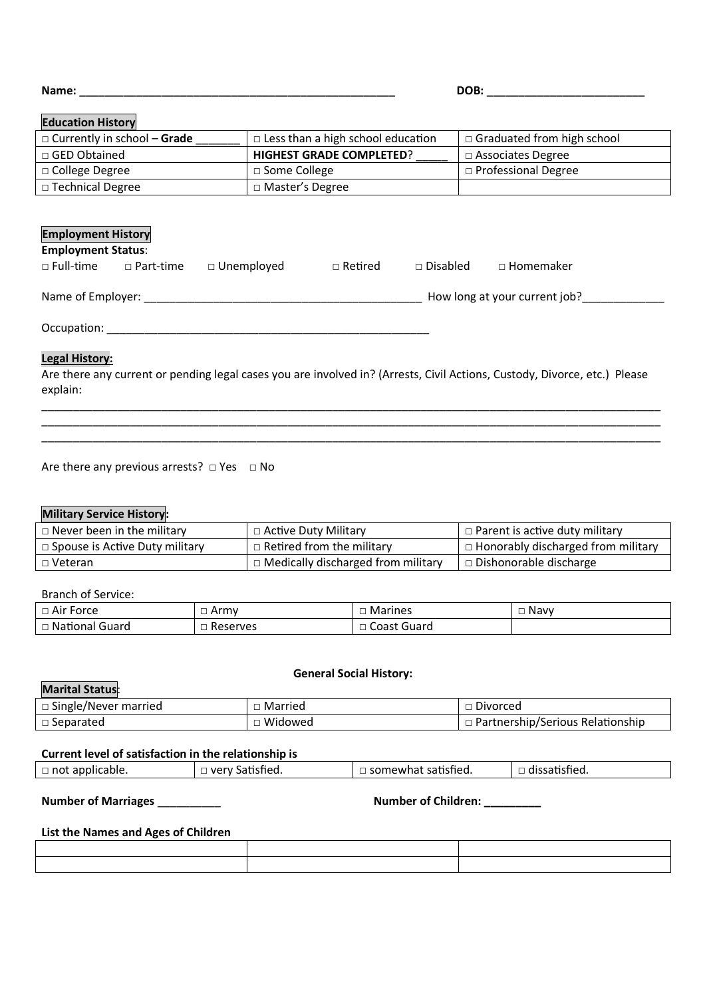**Name: \_\_\_\_\_\_\_\_\_\_\_\_\_\_\_\_\_\_\_\_\_\_\_\_\_\_\_\_\_\_\_\_\_\_\_\_\_\_\_\_\_\_\_\_\_\_\_\_\_\_ DOB: \_\_\_\_\_\_\_\_\_\_\_\_\_\_\_\_\_\_\_\_\_\_\_\_\_** 

#### **Education History**

| $\Box$ Currently in school – Grade | $\Box$ Less than a high school education | $\Box$ Graduated from high school |
|------------------------------------|------------------------------------------|-----------------------------------|
| □ GED Obtained                     | <b>HIGHEST GRADE COMPLETED?</b>          | $\Box$ Associates Degree          |
| $\Box$ College Degree              | $\Box$ Some College                      | □ Professional Degree             |
| □ Technical Degree                 | □ Master's Degree                        |                                   |

# **Employment History Employment Status**: □ Full-time □ Part-time □ Unemployed □ Retired □ Disabled □ Homemaker Name of Employer: \_\_\_\_\_\_\_\_\_\_\_\_\_\_\_\_\_\_\_\_\_\_\_\_\_\_\_\_\_\_\_\_\_\_\_\_\_\_\_\_\_\_\_\_ How long at your current job?\_\_\_\_\_\_\_\_\_\_\_\_\_ Occupation: \_\_\_\_\_\_\_\_\_\_\_\_\_\_\_\_\_\_\_\_\_\_\_\_\_\_\_\_\_\_\_\_\_\_\_\_\_\_\_\_\_\_\_\_\_\_\_\_\_\_\_

#### **Legal History:**

Are there any current or pending legal cases you are involved in? (Arrests, Civil Actions, Custody, Divorce, etc.) Please explain:

\_\_\_\_\_\_\_\_\_\_\_\_\_\_\_\_\_\_\_\_\_\_\_\_\_\_\_\_\_\_\_\_\_\_\_\_\_\_\_\_\_\_\_\_\_\_\_\_\_\_\_\_\_\_\_\_\_\_\_\_\_\_\_\_\_\_\_\_\_\_\_\_\_\_\_\_\_\_\_\_\_\_\_\_\_\_\_\_\_\_\_\_\_\_\_\_\_\_ \_\_\_\_\_\_\_\_\_\_\_\_\_\_\_\_\_\_\_\_\_\_\_\_\_\_\_\_\_\_\_\_\_\_\_\_\_\_\_\_\_\_\_\_\_\_\_\_\_\_\_\_\_\_\_\_\_\_\_\_\_\_\_\_\_\_\_\_\_\_\_\_\_\_\_\_\_\_\_\_\_\_\_\_\_\_\_\_\_\_\_\_\_\_\_\_\_\_  $\_$  ,  $\_$  ,  $\_$  ,  $\_$  ,  $\_$  ,  $\_$  ,  $\_$  ,  $\_$  ,  $\_$  ,  $\_$  ,  $\_$  ,  $\_$  ,  $\_$  ,  $\_$  ,  $\_$  ,  $\_$  ,  $\_$  ,  $\_$  ,  $\_$  ,  $\_$  ,  $\_$  ,  $\_$  ,  $\_$  ,  $\_$  ,  $\_$  ,  $\_$  ,  $\_$  ,  $\_$  ,  $\_$  ,  $\_$  ,  $\_$  ,  $\_$  ,  $\_$  ,  $\_$  ,  $\_$  ,  $\_$  ,  $\_$  ,

Are there any previous arrests?  $\Box$  Yes  $\Box$  No

#### **Military Service History:**

| $\Box$ Never been in the military     | □ Active Duty Military                    | $\vert$ $\Box$ Parent is active duty military     |
|---------------------------------------|-------------------------------------------|---------------------------------------------------|
| $\Box$ Spouse is Active Duty military | $\Box$ Retired from the military          | $\vert$ $\Box$ Honorably discharged from military |
| □ Veteran                             | $\Box$ Medically discharged from military | $\Box$ Dishonorable discharge                     |

#### Branch of Service:

| $\sim$<br>.<br>Force<br>$\Box$ Air | Armv     | Marines          | Navy |
|------------------------------------|----------|------------------|------|
| . National<br>Guard                | Reserves | Coast<br>: Guard |      |

#### **General Social History:**

#### **Marital Status**:

| $\Box$ Single/Never married | Married | Divorced                         |
|-----------------------------|---------|----------------------------------|
| $\Box$ Separated            | Widowed | Partnership/Serious Relationship |

#### **Current level of satisfaction in the relationship is**

| $\Box$ not<br>applicable. | `atistied.<br>very<br>$\mathbf{v}$<br>וומר | <br>satisfied<br>າewnat<br>sor | tished.<br>⊣ dissaf |
|---------------------------|--------------------------------------------|--------------------------------|---------------------|
|                           |                                            |                                |                     |

**Number of Marriages** \_\_\_\_\_\_\_\_\_\_ **Number of Children: \_\_\_\_\_\_\_\_\_** 

#### **List the Names and Ages of Children**